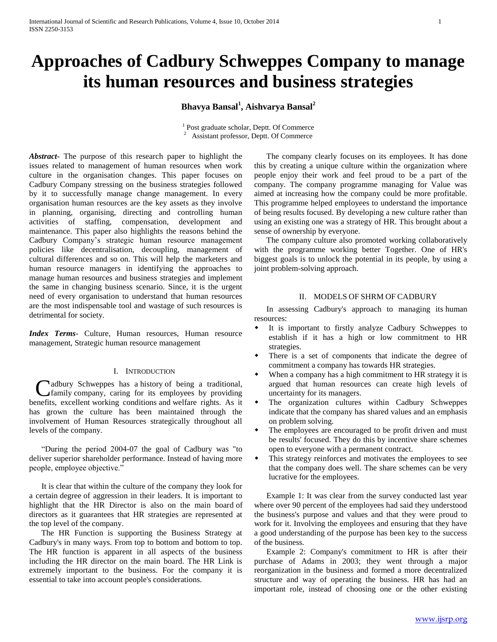# **Approaches of Cadbury Schweppes Company to manage its human resources and business strategies**

**Bhavya Bansal<sup>1</sup> , Aishvarya Bansal<sup>2</sup>**

<sup>1</sup> Post graduate scholar, Deptt. Of Commerce <sup>2</sup> Assistant professor, Deptt. Of Commerce

*Abstract***-** The purpose of this research paper to highlight the issues related to management of human resources when work culture in the organisation changes. This paper focuses on Cadbury Company stressing on the business strategies followed by it to successfully manage change management. In every organisation human resources are the key assets as they involve in planning, organising, directing and controlling human activities of staffing, compensation, development and maintenance. This paper also highlights the reasons behind the Cadbury Company's strategic human resource management policies like decentralisation, decoupling, management of cultural differences and so on. This will help the marketers and human resource managers in identifying the approaches to manage human resources and business strategies and implement the same in changing business scenario. Since, it is the urgent need of every organisation to understand that human resources are the most indispensable tool and wastage of such resources is detrimental for society.

*Index Terms*- Culture, Human resources, Human resource management, Strategic human resource management

# I. INTRODUCTION

adbury Schweppes has a history of being a traditional, Cadbury Schweppes has a history of being a traditional,<br>
Cfamily company, caring for its employees by providing benefits, excellent working conditions and welfare rights. As it has grown the culture has been maintained through the involvement of Human Resources strategically throughout all levels of the company.

 "During the period 2004-07 the goal of Cadbury was "to deliver superior shareholder performance. Instead of having more people, employee objective."

 It is clear that within the culture of the company they look for a certain degree of aggression in their leaders. It is important to highlight that the HR Director is also on the main board of directors as it guarantees that HR strategies are represented at the top level of the company.

 The HR Function is supporting the Business Strategy at Cadbury's in many ways. From top to bottom and bottom to top. The HR function is apparent in all aspects of the business including the HR director on the main board. The HR Link is extremely important to the business. For the company it is essential to take into account people's considerations.

 The company clearly focuses on its employees. It has done this by creating a unique culture within the organization where people enjoy their work and feel proud to be a part of the company. The company programme managing for Value was aimed at increasing how the company could be more profitable. This programme helped employees to understand the importance of being results focused. By developing a new culture rather than using an existing one was a strategy of HR. This brought about a sense of ownership by everyone.

 The company culture also promoted working collaboratively with the programme working better Together. One of HR's biggest goals is to unlock the potential in its people, by using a joint problem-solving approach.

#### II. MODELS OF SHRM OF CADBURY

 In assessing Cadbury's approach to managing its human resources:

- It is important to firstly analyze Cadbury Schweppes to establish if it has a high or low commitment to HR strategies.
- There is a set of components that indicate the degree of commitment a company has towards HR strategies.
- When a company has a high commitment to HR strategy it is argued that human resources can create high levels of uncertainty for its managers.
- The organization cultures within Cadbury Schweppes indicate that the company has shared values and an emphasis on problem solving.
- The employees are encouraged to be profit driven and must be results' focused. They do this by incentive share schemes open to everyone with a permanent contract.
- This strategy reinforces and motivates the employees to see that the company does well. The share schemes can be very lucrative for the employees.

 Example 1: It was clear from the survey conducted last year where over 90 percent of the employees had said they understood the business's purpose and values and that they were proud to work for it. Involving the employees and ensuring that they have a good understanding of the purpose has been key to the success of the business.

 Example 2: Company's commitment to HR is after their purchase of Adams in 2003; they went through a major reorganization in the business and formed a more decentralized structure and way of operating the business. HR has had an important role, instead of choosing one or the other existing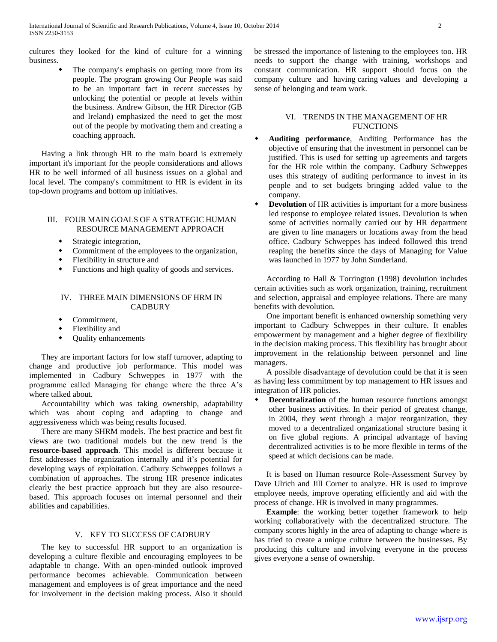cultures they looked for the kind of culture for a winning business.

> The company's emphasis on getting more from its people. The program growing Our People was said to be an important fact in recent successes by unlocking the potential or people at levels within the business. Andrew Gibson, the HR Director (GB and Ireland) emphasized the need to get the most out of the people by motivating them and creating a coaching approach.

 Having a link through HR to the main board is extremely important it's important for the people considerations and allows HR to be well informed of all business issues on a global and local level. The company's commitment to HR is evident in its top-down programs and bottom up initiatives.

### III. FOUR MAIN GOALS OF A STRATEGIC HUMAN RESOURCE MANAGEMENT APPROACH

- Strategic integration,
- Commitment of the employees to the organization,
- Flexibility in structure and
- Functions and high quality of goods and services.

# IV. THREE MAIN DIMENSIONS OF HRM IN **CADBURY**

- Commitment,
- Flexibility and
- Quality enhancements

 They are important factors for low staff turnover, adapting to change and productive job performance. This model was implemented in Cadbury Schweppes in 1977 with the programme called Managing for change where the three A's where talked about.

 Accountability which was taking ownership, adaptability which was about coping and adapting to change and aggressiveness which was being results focused.

 There are many SHRM models. The best practice and best fit views are two traditional models but the new trend is the **resource-based approach**. This model is different because it first addresses the organization internally and it's potential for developing ways of exploitation. Cadbury Schweppes follows a combination of approaches. The strong HR presence indicates clearly the best practice approach but they are also resourcebased. This approach focuses on internal personnel and their abilities and capabilities.

#### V. KEY TO SUCCESS OF CADBURY

 The key to successful HR support to an organization is developing a culture flexible and encouraging employees to be adaptable to change. With an open-minded outlook improved performance becomes achievable. Communication between management and employees is of great importance and the need for involvement in the decision making process. Also it should be stressed the importance of listening to the employees too. HR needs to support the change with training, workshops and constant communication. HR support should focus on the company culture and having caring values and developing a sense of belonging and team work.

# VI. TRENDS IN THE MANAGEMENT OF HR **FUNCTIONS**

- **Auditing performance**, Auditing Performance has the objective of ensuring that the investment in personnel can be justified. This is used for setting up agreements and targets for the HR role within the company. Cadbury Schweppes uses this strategy of auditing performance to invest in its people and to set budgets bringing added value to the company.
- **Devolution** of HR activities is important for a more business led response to employee related issues. Devolution is when some of activities normally carried out by HR department are given to line managers or locations away from the head office. Cadbury Schweppes has indeed followed this trend reaping the benefits since the days of Managing for Value was launched in 1977 by John Sunderland.

 According to Hall & Torrington (1998) devolution includes certain activities such as work organization, training, recruitment and selection, appraisal and employee relations. There are many benefits with devolution.

 One important benefit is enhanced ownership something very important to Cadbury Schweppes in their culture. It enables empowerment by management and a higher degree of flexibility in the decision making process. This flexibility has brought about improvement in the relationship between personnel and line managers.

 A possible disadvantage of devolution could be that it is seen as having less commitment by top management to HR issues and integration of HR policies.

 **Decentralization** of the human resource functions amongst other business activities. In their period of greatest change, in 2004, they went through a major reorganization, they moved to a decentralized organizational structure basing it on five global regions. A principal advantage of having decentralized activities is to be more flexible in terms of the speed at which decisions can be made.

 It is based on Human resource Role-Assessment Survey by Dave Ulrich and Jill Corner to analyze. HR is used to improve employee needs, improve operating efficiently and aid with the process of change. HR is involved in many programmes.

 **Example**: the working better together framework to help working collaboratively with the decentralized structure. The company scores highly in the area of adapting to change where is has tried to create a unique culture between the businesses. By producing this culture and involving everyone in the process gives everyone a sense of ownership.